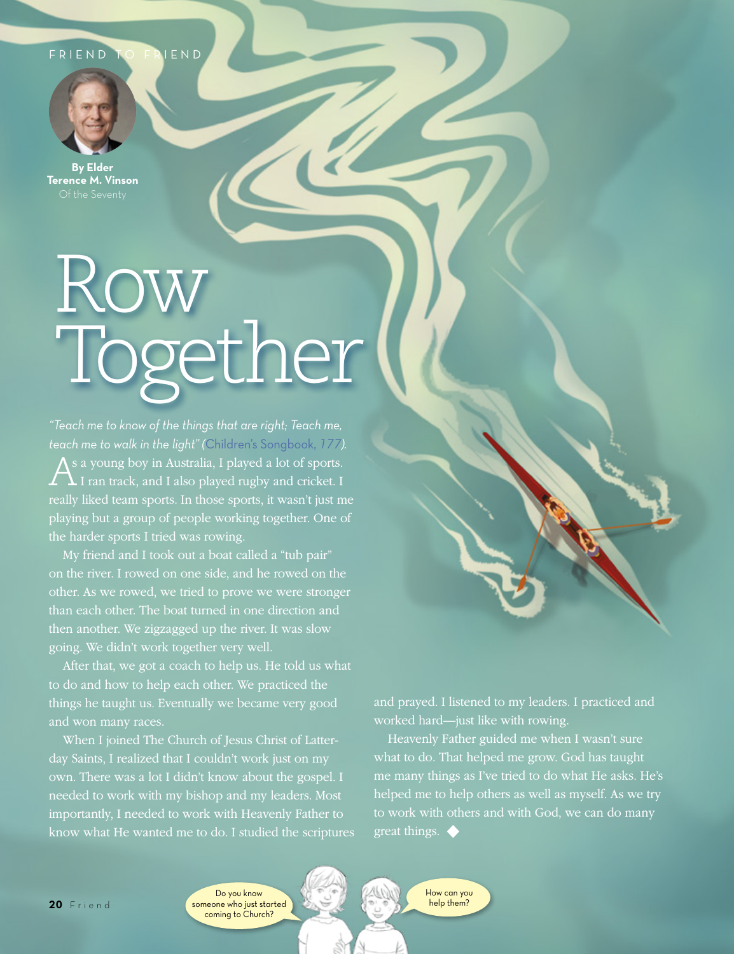## FRIEND TO FRIEND



**By Elder Terence M. Vinson**

## Row Together

*"Teach me to know of the things that are right; Teach me, teach me to walk in the light" (*[Children's Songbook,](https://www.lds.org/music/library/childrens-songbook/teach-me-to-walk-in-the-light?lang=eng) *177).*  $\bigwedge^s$  a young boy in Australia, I played a lot of sports.<br>I ran track, and I also played rugby and cricket. I really liked team sports. In those sports, it wasn't just me playing but a group of people working together. One of the harder sports I tried was rowing.

My friend and I took out a boat called a "tub pair" on the river. I rowed on one side, and he rowed on the other. As we rowed, we tried to prove we were stronger than each other. The boat turned in one direction and then another. We zigzagged up the river. It was slow going. We didn't work together very well.

After that, we got a coach to help us. He told us what things he taught us. Eventually we became very good and won many races.

When I joined The Church of Jesus Christ of Latterday Saints, I realized that I couldn't work just on my own. There was a lot I didn't know about the gospel. I needed to work with my bishop and my leaders. Most importantly, I needed to work with Heavenly Father to know what He wanted me to do. I studied the scriptures and prayed. I listened to my leaders. I practiced and worked hard—just like with rowing.

Heavenly Father guided me when I wasn't sure what to do. That helped me grow. God has taught me many things as I've tried to do what He asks. He's helped me to help others as well as myself. As we try great things. ◆